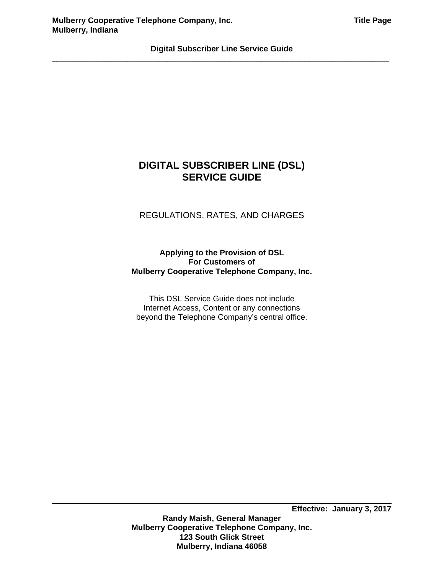# **DIGITAL SUBSCRIBER LINE (DSL) SERVICE GUIDE**

# REGULATIONS, RATES, AND CHARGES

# **Applying to the Provision of DSL For Customers of Mulberry Cooperative Telephone Company, Inc.**

This DSL Service Guide does not include Internet Access, Content or any connections beyond the Telephone Company's central office.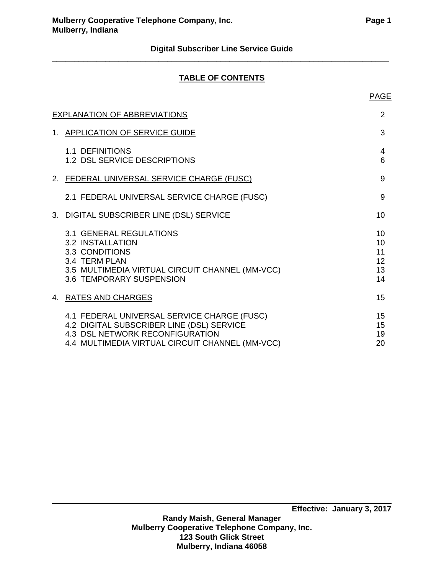# **TABLE OF CONTENTS**

| <b>EXPLANATION OF ABBREVIATIONS</b>                                                                                                                                            | 2                                |
|--------------------------------------------------------------------------------------------------------------------------------------------------------------------------------|----------------------------------|
| 1. APPLICATION OF SERVICE GUIDE                                                                                                                                                | 3                                |
| 1.1 DEFINITIONS<br>1.2 DSL SERVICE DESCRIPTIONS                                                                                                                                | 4<br>6                           |
| 2. FEDERAL UNIVERSAL SERVICE CHARGE (FUSC)                                                                                                                                     | 9                                |
| 2.1 FEDERAL UNIVERSAL SERVICE CHARGE (FUSC)                                                                                                                                    | 9                                |
| 3. DIGITAL SUBSCRIBER LINE (DSL) SERVICE                                                                                                                                       | 10                               |
| 3.1 GENERAL REGULATIONS<br>3.2 INSTALLATION<br>3.3 CONDITIONS<br>3.4 TERM PLAN<br>3.5 MULTIMEDIA VIRTUAL CIRCUIT CHANNEL (MM-VCC)<br>3.6 TEMPORARY SUSPENSION                  | 10<br>10<br>11<br>12<br>13<br>14 |
| 4. RATES AND CHARGES                                                                                                                                                           | 15                               |
| 4.1 FEDERAL UNIVERSAL SERVICE CHARGE (FUSC)<br>4.2 DIGITAL SUBSCRIBER LINE (DSL) SERVICE<br>4.3 DSL NETWORK RECONFIGURATION<br>4.4 MULTIMEDIA VIRTUAL CIRCUIT CHANNEL (MM-VCC) | 15<br>15<br>19<br>20             |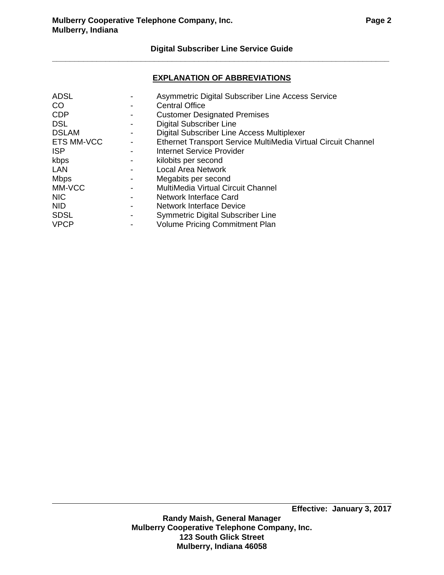# **EXPLANATION OF ABBREVIATIONS**

| Asymmetric Digital Subscriber Line Access Service             |
|---------------------------------------------------------------|
| <b>Central Office</b>                                         |
| <b>Customer Designated Premises</b>                           |
| <b>Digital Subscriber Line</b>                                |
| <b>Digital Subscriber Line Access Multiplexer</b>             |
| Ethernet Transport Service MultiMedia Virtual Circuit Channel |
| Internet Service Provider                                     |
| kilobits per second                                           |
| Local Area Network                                            |
| Megabits per second                                           |
| MultiMedia Virtual Circuit Channel                            |
| Network Interface Card                                        |
| Network Interface Device                                      |
| <b>Symmetric Digital Subscriber Line</b>                      |
| <b>Volume Pricing Commitment Plan</b>                         |
|                                                               |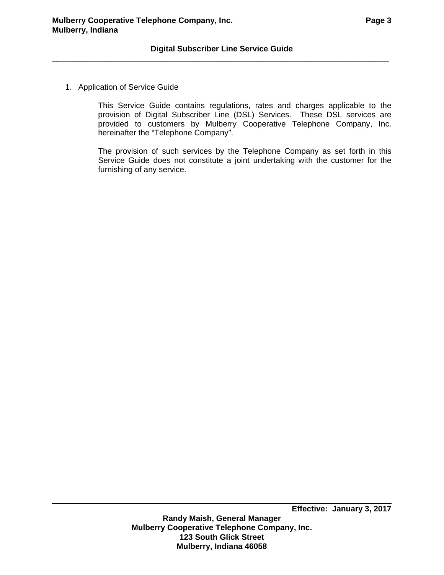#### 1. Application of Service Guide

 This Service Guide contains regulations, rates and charges applicable to the provision of Digital Subscriber Line (DSL) Services. These DSL services are provided to customers by Mulberry Cooperative Telephone Company, Inc. hereinafter the "Telephone Company".

 The provision of such services by the Telephone Company as set forth in this Service Guide does not constitute a joint undertaking with the customer for the furnishing of any service.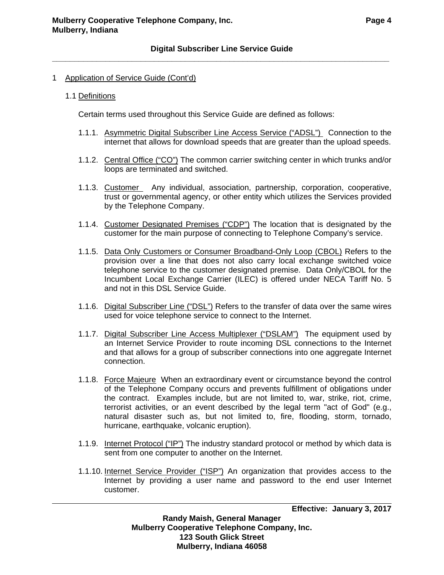#### 1 Application of Service Guide (Cont'd)

1.1 Definitions

Certain terms used throughout this Service Guide are defined as follows:

- 1.1.1. Asymmetric Digital Subscriber Line Access Service ("ADSL") Connection to the internet that allows for download speeds that are greater than the upload speeds.
- 1.1.2. Central Office ("CO") The common carrier switching center in which trunks and/or loops are terminated and switched.
- 1.1.3. Customer Any individual, association, partnership, corporation, cooperative, trust or governmental agency, or other entity which utilizes the Services provided by the Telephone Company.
- 1.1.4. Customer Designated Premises ("CDP") The location that is designated by the customer for the main purpose of connecting to Telephone Company's service.
- 1.1.5. Data Only Customers or Consumer Broadband-Only Loop (CBOL) Refers to the provision over a line that does not also carry local exchange switched voice telephone service to the customer designated premise. Data Only/CBOL for the Incumbent Local Exchange Carrier (ILEC) is offered under NECA Tariff No. 5 and not in this DSL Service Guide.
- 1.1.6. Digital Subscriber Line ("DSL") Refers to the transfer of data over the same wires used for voice telephone service to connect to the Internet.
- 1.1.7. Digital Subscriber Line Access Multiplexer ("DSLAM") The equipment used by an Internet Service Provider to route incoming DSL connections to the Internet and that allows for a group of subscriber connections into one aggregate Internet connection.
- 1.1.8. Force Majeure When an extraordinary event or circumstance beyond the control of the Telephone Company occurs and prevents fulfillment of obligations under the contract. Examples include, but are not limited to, war, strike, riot, crime, terrorist activities, or an event described by the legal term "act of God" (e.g., natural disaster such as, but not limited to, fire, flooding, storm, tornado, hurricane, earthquake, volcanic eruption).
- 1.1.9. Internet Protocol ("IP") The industry standard protocol or method by which data is sent from one computer to another on the Internet.
- 1.1.10. Internet Service Provider ("ISP") An organization that provides access to the Internet by providing a user name and password to the end user Internet customer.

 **Effective: January 3, 2017** 

**Randy Maish, General Manager Mulberry Cooperative Telephone Company, Inc. 123 South Glick Street Mulberry, Indiana 46058**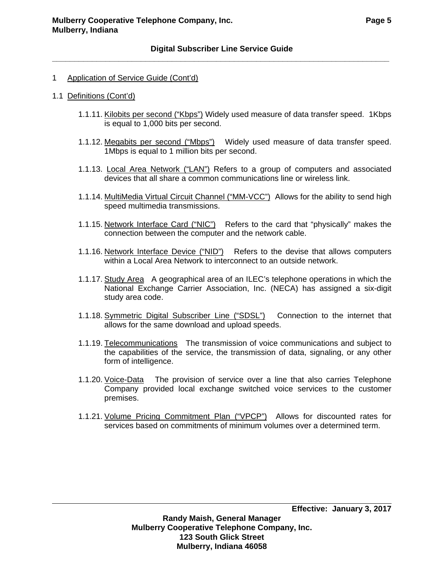#### 1 Application of Service Guide (Cont'd)

- 1.1 Definitions (Cont'd)
	- 1.1.11. Kilobits per second ("Kbps") Widely used measure of data transfer speed. 1Kbps is equal to 1,000 bits per second.
	- 1.1.12. Megabits per second ("Mbps") Widely used measure of data transfer speed. 1Mbps is equal to 1 million bits per second.
	- 1.1.13. Local Area Network ("LAN") Refers to a group of computers and associated devices that all share a common communications line or wireless link.
	- 1.1.14. MultiMedia Virtual Circuit Channel ("MM-VCC") Allows for the ability to send high speed multimedia transmissions.
	- 1.1.15. Network Interface Card ("NIC") Refers to the card that "physically" makes the connection between the computer and the network cable.
	- 1.1.16. Network Interface Device ("NID") Refers to the devise that allows computers within a Local Area Network to interconnect to an outside network.
	- 1.1.17. Study Area A geographical area of an ILEC's telephone operations in which the National Exchange Carrier Association, Inc. (NECA) has assigned a six-digit study area code.
	- 1.1.18. Symmetric Digital Subscriber Line ("SDSL") Connection to the internet that allows for the same download and upload speeds.
	- 1.1.19. Telecommunications The transmission of voice communications and subject to the capabilities of the service, the transmission of data, signaling, or any other form of intelligence.
	- 1.1.20. Voice-Data The provision of service over a line that also carries Telephone Company provided local exchange switched voice services to the customer premises.
	- 1.1.21. Volume Pricing Commitment Plan ("VPCP") Allows for discounted rates for services based on commitments of minimum volumes over a determined term.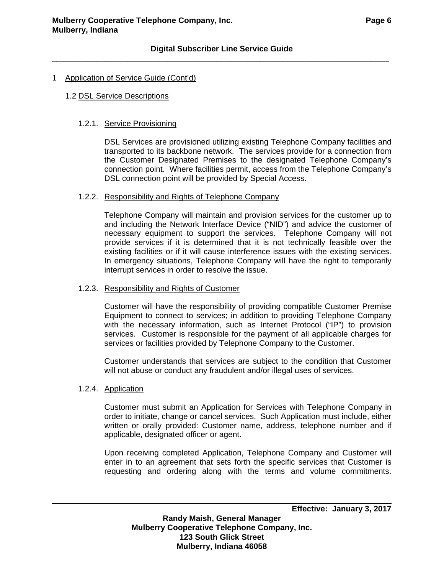#### 1 Application of Service Guide (Cont'd)

#### 1.2 DSL Service Descriptions

#### 1.2.1. Service Provisioning

DSL Services are provisioned utilizing existing Telephone Company facilities and transported to its backbone network. The services provide for a connection from the Customer Designated Premises to the designated Telephone Company's connection point. Where facilities permit, access from the Telephone Company's DSL connection point will be provided by Special Access.

#### 1.2.2. Responsibility and Rights of Telephone Company

Telephone Company will maintain and provision services for the customer up to and including the Network Interface Device ("NID") and advice the customer of necessary equipment to support the services. Telephone Company will not provide services if it is determined that it is not technically feasible over the existing facilities or if it will cause interference issues with the existing services. In emergency situations, Telephone Company will have the right to temporarily interrupt services in order to resolve the issue.

#### 1.2.3. Responsibility and Rights of Customer

Customer will have the responsibility of providing compatible Customer Premise Equipment to connect to services; in addition to providing Telephone Company with the necessary information, such as Internet Protocol ("IP") to provision services. Customer is responsible for the payment of all applicable charges for services or facilities provided by Telephone Company to the Customer.

Customer understands that services are subject to the condition that Customer will not abuse or conduct any fraudulent and/or illegal uses of services.

## 1.2.4. Application

Customer must submit an Application for Services with Telephone Company in order to initiate, change or cancel services. Such Application must include, either written or orally provided: Customer name, address, telephone number and if applicable, designated officer or agent.

Upon receiving completed Application, Telephone Company and Customer will enter in to an agreement that sets forth the specific services that Customer is requesting and ordering along with the terms and volume commitments.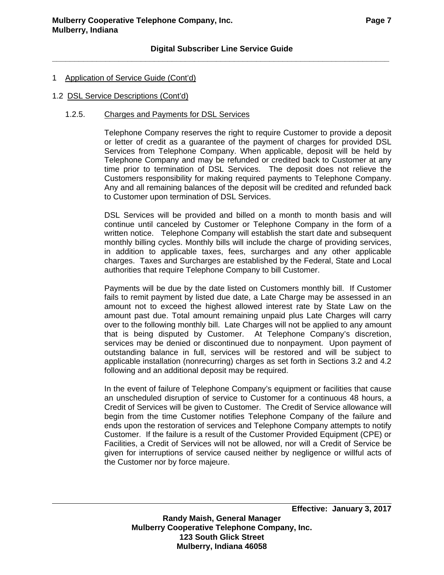# 1 Application of Service Guide (Cont'd)

#### 1.2 DSL Service Descriptions (Cont'd)

#### 1.2.5. Charges and Payments for DSL Services

Telephone Company reserves the right to require Customer to provide a deposit or letter of credit as a guarantee of the payment of charges for provided DSL Services from Telephone Company. When applicable, deposit will be held by Telephone Company and may be refunded or credited back to Customer at any time prior to termination of DSL Services. The deposit does not relieve the Customers responsibility for making required payments to Telephone Company. Any and all remaining balances of the deposit will be credited and refunded back to Customer upon termination of DSL Services.

DSL Services will be provided and billed on a month to month basis and will continue until canceled by Customer or Telephone Company in the form of a written notice. Telephone Company will establish the start date and subsequent monthly billing cycles. Monthly bills will include the charge of providing services, in addition to applicable taxes, fees, surcharges and any other applicable charges. Taxes and Surcharges are established by the Federal, State and Local authorities that require Telephone Company to bill Customer.

Payments will be due by the date listed on Customers monthly bill. If Customer fails to remit payment by listed due date, a Late Charge may be assessed in an amount not to exceed the highest allowed interest rate by State Law on the amount past due. Total amount remaining unpaid plus Late Charges will carry over to the following monthly bill. Late Charges will not be applied to any amount that is being disputed by Customer. At Telephone Company's discretion, services may be denied or discontinued due to nonpayment. Upon payment of outstanding balance in full, services will be restored and will be subject to applicable installation (nonrecurring) charges as set forth in Sections 3.2 and 4.2 following and an additional deposit may be required.

In the event of failure of Telephone Company's equipment or facilities that cause an unscheduled disruption of service to Customer for a continuous 48 hours, a Credit of Services will be given to Customer. The Credit of Service allowance will begin from the time Customer notifies Telephone Company of the failure and ends upon the restoration of services and Telephone Company attempts to notify Customer. If the failure is a result of the Customer Provided Equipment (CPE) or Facilities, a Credit of Services will not be allowed, nor will a Credit of Service be given for interruptions of service caused neither by negligence or willful acts of the Customer nor by force majeure.

**123 South Glick Street Mulberry, Indiana 46058**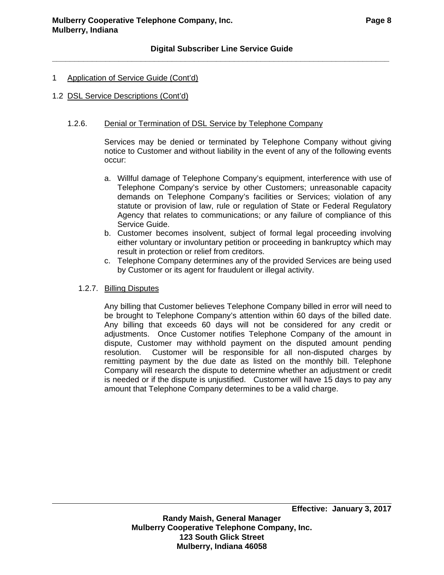### 1 Application of Service Guide (Cont'd)

#### 1.2 DSL Service Descriptions (Cont'd)

#### 1.2.6. Denial or Termination of DSL Service by Telephone Company

Services may be denied or terminated by Telephone Company without giving notice to Customer and without liability in the event of any of the following events occur:

- a. Willful damage of Telephone Company's equipment, interference with use of Telephone Company's service by other Customers; unreasonable capacity demands on Telephone Company's facilities or Services; violation of any statute or provision of law, rule or regulation of State or Federal Regulatory Agency that relates to communications; or any failure of compliance of this Service Guide.
- b. Customer becomes insolvent, subject of formal legal proceeding involving either voluntary or involuntary petition or proceeding in bankruptcy which may result in protection or relief from creditors.
- c. Telephone Company determines any of the provided Services are being used by Customer or its agent for fraudulent or illegal activity.

#### 1.2.7. Billing Disputes

Any billing that Customer believes Telephone Company billed in error will need to be brought to Telephone Company's attention within 60 days of the billed date. Any billing that exceeds 60 days will not be considered for any credit or adjustments. Once Customer notifies Telephone Company of the amount in dispute, Customer may withhold payment on the disputed amount pending resolution. Customer will be responsible for all non-disputed charges by remitting payment by the due date as listed on the monthly bill. Telephone Company will research the dispute to determine whether an adjustment or credit is needed or if the dispute is unjustified. Customer will have 15 days to pay any amount that Telephone Company determines to be a valid charge.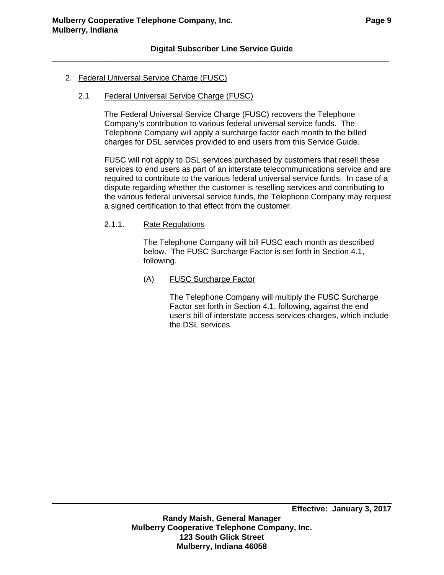**\_\_\_\_\_\_\_\_\_\_\_\_\_\_\_\_\_\_\_\_\_\_\_\_\_\_\_\_\_\_\_\_\_\_\_\_\_\_\_\_\_\_\_\_\_\_\_\_\_\_\_\_\_\_\_\_\_\_\_\_\_\_\_\_\_\_\_\_\_\_\_\_\_\_\_\_** 

# 2. Federal Universal Service Charge (FUSC)

# 2.1 Federal Universal Service Charge (FUSC)

The Federal Universal Service Charge (FUSC) recovers the Telephone Company's contribution to various federal universal service funds. The Telephone Company will apply a surcharge factor each month to the billed charges for DSL services provided to end users from this Service Guide.

FUSC will not apply to DSL services purchased by customers that resell these services to end users as part of an interstate telecommunications service and are required to contribute to the various federal universal service funds. In case of a dispute regarding whether the customer is reselling services and contributing to the various federal universal service funds, the Telephone Company may request a signed certification to that effect from the customer.

# 2.1.1. Rate Regulations

The Telephone Company will bill FUSC each month as described below. The FUSC Surcharge Factor is set forth in Section 4.1, following.

# (A) FUSC Surcharge Factor

The Telephone Company will multiply the FUSC Surcharge Factor set forth in Section 4.1, following, against the end user's bill of interstate access services charges, which include the DSL services.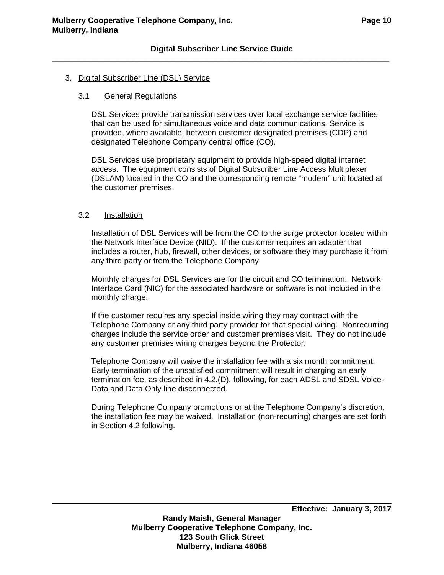# 3. Digital Subscriber Line (DSL) Service

#### 3.1 General Regulations

DSL Services provide transmission services over local exchange service facilities that can be used for simultaneous voice and data communications. Service is provided, where available, between customer designated premises (CDP) and designated Telephone Company central office (CO).

DSL Services use proprietary equipment to provide high-speed digital internet access. The equipment consists of Digital Subscriber Line Access Multiplexer (DSLAM) located in the CO and the corresponding remote "modem" unit located at the customer premises.

#### 3.2 Installation

Installation of DSL Services will be from the CO to the surge protector located within the Network Interface Device (NID). If the customer requires an adapter that includes a router, hub, firewall, other devices, or software they may purchase it from any third party or from the Telephone Company.

Monthly charges for DSL Services are for the circuit and CO termination. Network Interface Card (NIC) for the associated hardware or software is not included in the monthly charge.

If the customer requires any special inside wiring they may contract with the Telephone Company or any third party provider for that special wiring. Nonrecurring charges include the service order and customer premises visit. They do not include any customer premises wiring charges beyond the Protector.

Telephone Company will waive the installation fee with a six month commitment. Early termination of the unsatisfied commitment will result in charging an early termination fee, as described in 4.2.(D), following, for each ADSL and SDSL Voice-Data and Data Only line disconnected.

During Telephone Company promotions or at the Telephone Company's discretion, the installation fee may be waived. Installation (non-recurring) charges are set forth in Section 4.2 following.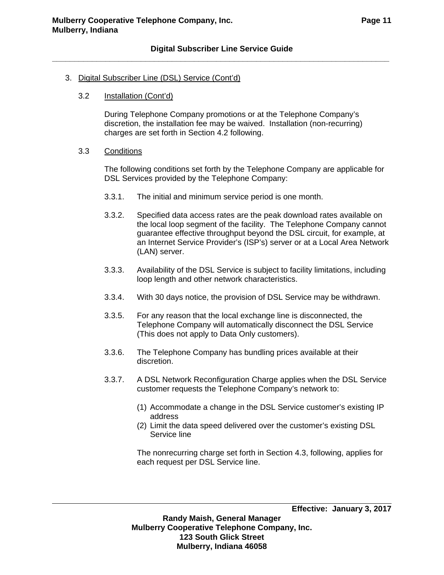# 3. Digital Subscriber Line (DSL) Service (Cont'd)

# 3.2 Installation (Cont'd)

During Telephone Company promotions or at the Telephone Company's discretion, the installation fee may be waived. Installation (non-recurring) charges are set forth in Section 4.2 following.

# 3.3 Conditions

The following conditions set forth by the Telephone Company are applicable for DSL Services provided by the Telephone Company:

- 3.3.1. The initial and minimum service period is one month.
- 3.3.2. Specified data access rates are the peak download rates available on the local loop segment of the facility. The Telephone Company cannot guarantee effective throughput beyond the DSL circuit, for example, at an Internet Service Provider's (ISP's) server or at a Local Area Network (LAN) server.
- 3.3.3. Availability of the DSL Service is subject to facility limitations, including loop length and other network characteristics.
- 3.3.4. With 30 days notice, the provision of DSL Service may be withdrawn.
- 3.3.5. For any reason that the local exchange line is disconnected, the Telephone Company will automatically disconnect the DSL Service (This does not apply to Data Only customers).
- 3.3.6. The Telephone Company has bundling prices available at their discretion.
- 3.3.7. A DSL Network Reconfiguration Charge applies when the DSL Service customer requests the Telephone Company's network to:
	- (1) Accommodate a change in the DSL Service customer's existing IP address
	- (2) Limit the data speed delivered over the customer's existing DSL Service line

The nonrecurring charge set forth in Section 4.3, following, applies for each request per DSL Service line.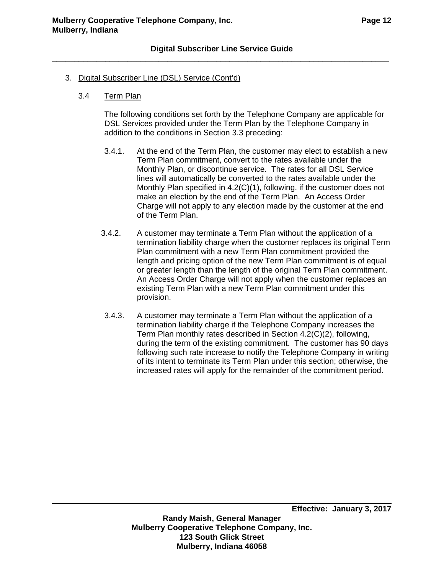### 3. Digital Subscriber Line (DSL) Service (Cont'd)

#### 3.4 Term Plan

The following conditions set forth by the Telephone Company are applicable for DSL Services provided under the Term Plan by the Telephone Company in addition to the conditions in Section 3.3 preceding:

- 3.4.1. At the end of the Term Plan, the customer may elect to establish a new Term Plan commitment, convert to the rates available under the Monthly Plan, or discontinue service. The rates for all DSL Service lines will automatically be converted to the rates available under the Monthly Plan specified in 4.2(C)(1), following, if the customer does not make an election by the end of the Term Plan. An Access Order Charge will not apply to any election made by the customer at the end of the Term Plan.
- 3.4.2. A customer may terminate a Term Plan without the application of a termination liability charge when the customer replaces its original Term Plan commitment with a new Term Plan commitment provided the length and pricing option of the new Term Plan commitment is of equal or greater length than the length of the original Term Plan commitment. An Access Order Charge will not apply when the customer replaces an existing Term Plan with a new Term Plan commitment under this provision.
- 3.4.3. A customer may terminate a Term Plan without the application of a termination liability charge if the Telephone Company increases the Term Plan monthly rates described in Section 4.2(C)(2), following, during the term of the existing commitment. The customer has 90 days following such rate increase to notify the Telephone Company in writing of its intent to terminate its Term Plan under this section; otherwise, the increased rates will apply for the remainder of the commitment period.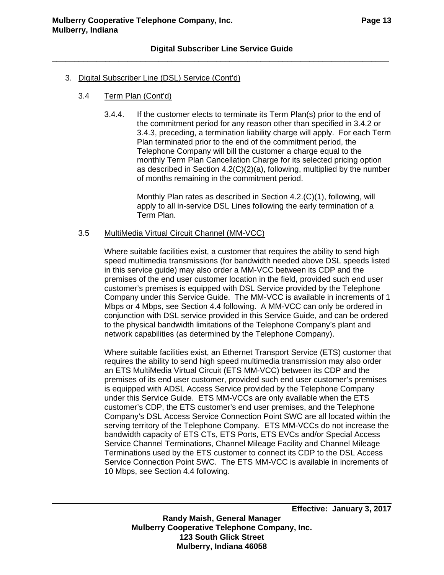# 3. Digital Subscriber Line (DSL) Service (Cont'd)

#### 3.4 Term Plan (Cont'd)

3.4.4. If the customer elects to terminate its Term Plan(s) prior to the end of the commitment period for any reason other than specified in 3.4.2 or 3.4.3, preceding, a termination liability charge will apply. For each Term Plan terminated prior to the end of the commitment period, the Telephone Company will bill the customer a charge equal to the monthly Term Plan Cancellation Charge for its selected pricing option as described in Section 4.2(C)(2)(a), following, multiplied by the number of months remaining in the commitment period.

> Monthly Plan rates as described in Section 4.2.(C)(1), following, will apply to all in-service DSL Lines following the early termination of a Term Plan.

#### 3.5 MultiMedia Virtual Circuit Channel (MM-VCC)

Where suitable facilities exist, a customer that requires the ability to send high speed multimedia transmissions (for bandwidth needed above DSL speeds listed in this service guide) may also order a MM-VCC between its CDP and the premises of the end user customer location in the field, provided such end user customer's premises is equipped with DSL Service provided by the Telephone Company under this Service Guide. The MM-VCC is available in increments of 1 Mbps or 4 Mbps, see Section 4.4 following. A MM-VCC can only be ordered in conjunction with DSL service provided in this Service Guide, and can be ordered to the physical bandwidth limitations of the Telephone Company's plant and network capabilities (as determined by the Telephone Company).

Where suitable facilities exist, an Ethernet Transport Service (ETS) customer that requires the ability to send high speed multimedia transmission may also order an ETS MultiMedia Virtual Circuit (ETS MM-VCC) between its CDP and the premises of its end user customer, provided such end user customer's premises is equipped with ADSL Access Service provided by the Telephone Company under this Service Guide. ETS MM-VCCs are only available when the ETS customer's CDP, the ETS customer's end user premises, and the Telephone Company's DSL Access Service Connection Point SWC are all located within the serving territory of the Telephone Company. ETS MM-VCCs do not increase the bandwidth capacity of ETS CTs, ETS Ports, ETS EVCs and/or Special Access Service Channel Terminations, Channel Mileage Facility and Channel Mileage Terminations used by the ETS customer to connect its CDP to the DSL Access Service Connection Point SWC. The ETS MM-VCC is available in increments of 10 Mbps, see Section 4.4 following.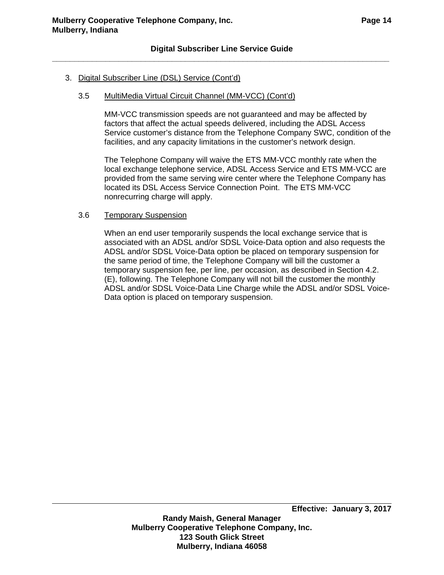# 3. Digital Subscriber Line (DSL) Service (Cont'd)

# 3.5 MultiMedia Virtual Circuit Channel (MM-VCC) (Cont'd)

MM-VCC transmission speeds are not guaranteed and may be affected by factors that affect the actual speeds delivered, including the ADSL Access Service customer's distance from the Telephone Company SWC, condition of the facilities, and any capacity limitations in the customer's network design.

The Telephone Company will waive the ETS MM-VCC monthly rate when the local exchange telephone service, ADSL Access Service and ETS MM-VCC are provided from the same serving wire center where the Telephone Company has located its DSL Access Service Connection Point. The ETS MM-VCC nonrecurring charge will apply.

# 3.6 Temporary Suspension

When an end user temporarily suspends the local exchange service that is associated with an ADSL and/or SDSL Voice-Data option and also requests the ADSL and/or SDSL Voice-Data option be placed on temporary suspension for the same period of time, the Telephone Company will bill the customer a temporary suspension fee, per line, per occasion, as described in Section 4.2. (E), following. The Telephone Company will not bill the customer the monthly ADSL and/or SDSL Voice-Data Line Charge while the ADSL and/or SDSL Voice-Data option is placed on temporary suspension.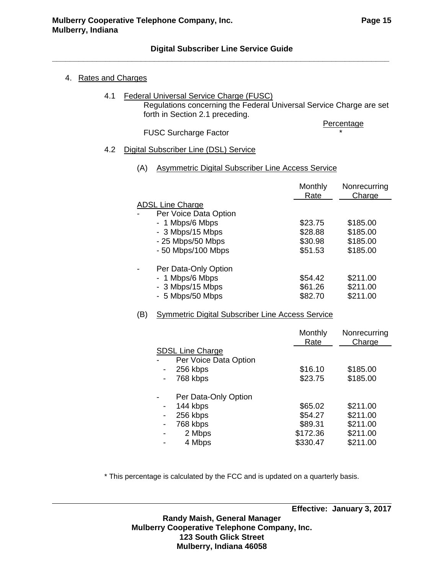| Rates and Charges<br>4. |
|-------------------------|
|-------------------------|

#### 4.1 Federal Universal Service Charge (FUSC)

Regulations concerning the Federal Universal Service Charge are set forth in Section 2.1 preceding.

**Percentage** 

FUSC Surcharge Factor

# 4.2 Digital Subscriber Line (DSL) Service

### (A) Asymmetric Digital Subscriber Line Access Service

|                         | Monthly<br>Rate | Nonrecurring<br>Charge |
|-------------------------|-----------------|------------------------|
| <b>ADSL Line Charge</b> |                 |                        |
| Per Voice Data Option   |                 |                        |
| - 1 Mbps/6 Mbps         | \$23.75         | \$185.00               |
| - 3 Mbps/15 Mbps        | \$28.88         | \$185.00               |
| - 25 Mbps/50 Mbps       | \$30.98         | \$185.00               |
| - 50 Mbps/100 Mbps      | \$51.53         | \$185.00               |
| Per Data-Only Option    |                 |                        |
| - 1 Mbps/6 Mbps         | \$54.42         | \$211.00               |
| - 3 Mbps/15 Mbps        | \$61.26         | \$211.00               |
| - 5 Mbps/50 Mbps        | \$82.70         | \$211.00               |

#### (B) Symmetric Digital Subscriber Line Access Service

|                                                                                 |                       | Monthly<br>Rate    | Nonrecurring<br>Charge |
|---------------------------------------------------------------------------------|-----------------------|--------------------|------------------------|
| <b>SDSL Line Charge</b><br>256 kbps<br>$\qquad \qquad \blacksquare$<br>768 kbps | Per Voice Data Option | \$16.10<br>\$23.75 | \$185.00<br>\$185.00   |
|                                                                                 | Per Data-Only Option  |                    |                        |
| 144 kbps                                                                        |                       | \$65.02            | \$211.00               |
| 256 kbps                                                                        |                       | \$54.27            | \$211.00               |
| 768 kbps                                                                        |                       | \$89.31            | \$211.00               |
|                                                                                 | 2 Mbps                | \$172.36           | \$211.00               |
|                                                                                 | 4 Mbps                | \$330.47           | \$211.00               |

\* This percentage is calculated by the FCC and is updated on a quarterly basis.

 **Effective: January 3, 2017** 

**Randy Maish, General Manager Mulberry Cooperative Telephone Company, Inc. 123 South Glick Street Mulberry, Indiana 46058**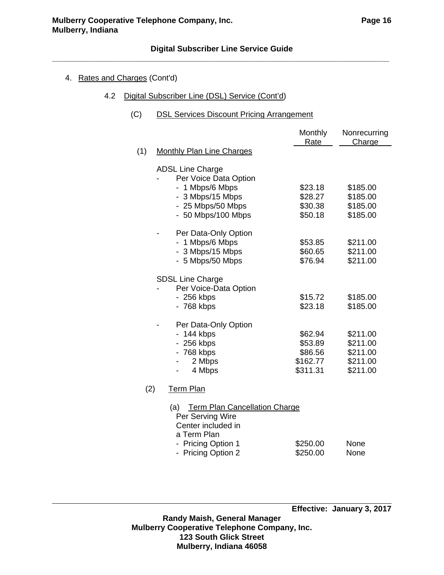# 4. Rates and Charges (Cont'd)

#### 4.2 Digital Subscriber Line (DSL) Service (Cont'd)

# (C) DSL Services Discount Pricing Arrangement

|     |                                             | Monthly<br>Rate | Nonrecurring<br>Charge |
|-----|---------------------------------------------|-----------------|------------------------|
| (1) | <b>Monthly Plan Line Charges</b>            |                 |                        |
|     | <b>ADSL Line Charge</b>                     |                 |                        |
|     | Per Voice Data Option                       |                 |                        |
|     | - 1 Mbps/6 Mbps                             | \$23.18         | \$185.00               |
|     | - 3 Mbps/15 Mbps                            | \$28.27         | \$185.00               |
|     | - 25 Mbps/50 Mbps                           | \$30.38         | \$185.00               |
|     | - 50 Mbps/100 Mbps                          | \$50.18         | \$185.00               |
|     | Per Data-Only Option                        |                 |                        |
|     | - 1 Mbps/6 Mbps                             | \$53.85         | \$211.00               |
|     | - 3 Mbps/15 Mbps                            | \$60.65         | \$211.00               |
|     | - 5 Mbps/50 Mbps                            | \$76.94         | \$211.00               |
|     | <b>SDSL Line Charge</b>                     |                 |                        |
|     | Per Voice-Data Option                       |                 |                        |
|     | - 256 kbps                                  | \$15.72         | \$185.00               |
|     | - 768 kbps                                  | \$23.18         | \$185.00               |
|     | Per Data-Only Option                        |                 |                        |
|     | - 144 kbps                                  | \$62.94         | \$211.00               |
|     | - 256 kbps                                  | \$53.89         | \$211.00               |
|     | - 768 kbps                                  | \$86.56         | \$211.00               |
|     | 2 Mbps                                      | \$162.77        | \$211.00               |
|     | 4 Mbps<br>-                                 | \$311.31        | \$211.00               |
|     | (2)<br><b>Term Plan</b>                     |                 |                        |
|     | <b>Term Plan Cancellation Charge</b><br>(a) |                 |                        |
|     | Per Serving Wire                            |                 |                        |
|     | Center included in                          |                 |                        |

a Term Plan

| - Pricing Option 1 | \$250.00 | None |
|--------------------|----------|------|
| - Pricing Option 2 | \$250.00 | None |

**Randy Maish, General Manager Mulberry Cooperative Telephone Company, Inc. 123 South Glick Street Mulberry, Indiana 46058**

 **Effective: January 3, 2017**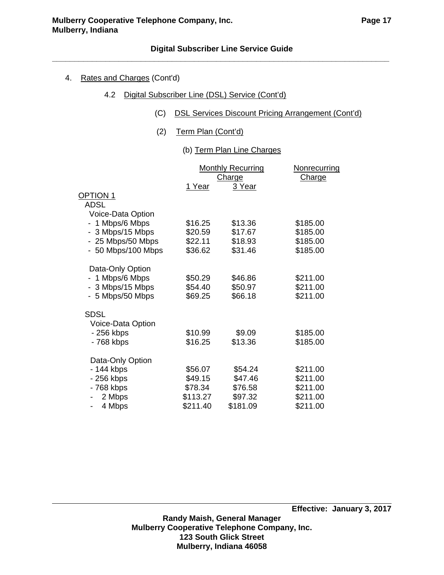|  | 4. | Rates and Charges (Cont'd) |  |  |  |
|--|----|----------------------------|--|--|--|
|--|----|----------------------------|--|--|--|

- 4.2 Digital Subscriber Line (DSL) Service (Cont'd)
	- (C) DSL Services Discount Pricing Arrangement (Cont'd)
	- (2) Term Plan (Cont'd)
		- (b) Term Plan Line Charges

|                    |               | <b>Monthly Recurring</b> | <b>Nonrecurring</b> |
|--------------------|---------------|--------------------------|---------------------|
|                    |               | <b>Charge</b>            | <b>Charge</b>       |
|                    | <u>1 Year</u> | 3 Year                   |                     |
| <b>OPTION 1</b>    |               |                          |                     |
| ADSL               |               |                          |                     |
| Voice-Data Option  |               |                          |                     |
| - 1 Mbps/6 Mbps    | \$16.25       | \$13.36                  | \$185.00            |
| - 3 Mbps/15 Mbps   | \$20.59       | \$17.67                  | \$185.00            |
| - 25 Mbps/50 Mbps  | \$22.11       | \$18.93                  | \$185.00            |
| - 50 Mbps/100 Mbps | \$36.62       | \$31.46                  | \$185.00            |
|                    |               |                          |                     |
| Data-Only Option   |               |                          |                     |
| - 1 Mbps/6 Mbps    | \$50.29       | \$46.86                  | \$211.00            |
| - 3 Mbps/15 Mbps   | \$54.40       | \$50.97                  | \$211.00            |
| - 5 Mbps/50 Mbps   | \$69.25       | \$66.18                  | \$211.00            |
| <b>SDSL</b>        |               |                          |                     |
| Voice-Data Option  |               |                          |                     |
| - 256 kbps         | \$10.99       | \$9.09                   | \$185.00            |
| - 768 kbps         | \$16.25       | \$13.36                  | \$185.00            |
|                    |               |                          |                     |
| Data-Only Option   |               |                          |                     |
| - 144 kbps         | \$56.07       | \$54.24                  | \$211.00            |
| - 256 kbps         | \$49.15       | \$47.46                  | \$211.00            |
| - 768 kbps         | \$78.34       | \$76.58                  | \$211.00            |
| 2 Mbps             | \$113.27      | \$97.32                  | \$211.00            |
| 4 Mbps             | \$211.40      | \$181.09                 | \$211.00            |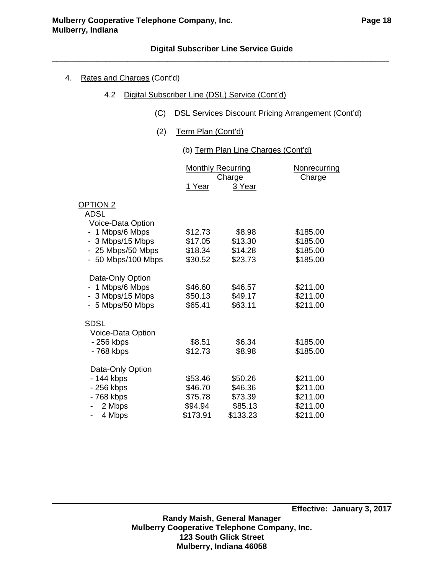| Rates and Charges (Cont'd) |
|----------------------------|
|                            |

- 4.2 Digital Subscriber Line (DSL) Service (Cont'd)
	- (C) DSL Services Discount Pricing Arrangement (Cont'd)
	- (2) Term Plan (Cont'd)
		- (b) Term Plan Line Charges (Cont'd)

|                     | <b>Monthly Recurring</b> |                         | <b>Nonrecurring</b> |
|---------------------|--------------------------|-------------------------|---------------------|
|                     | 1 Year                   | <b>Charge</b><br>3 Year | Charge              |
| OPTION <sub>2</sub> |                          |                         |                     |
| <b>ADSL</b>         |                          |                         |                     |
| Voice-Data Option   |                          |                         |                     |
| - 1 Mbps/6 Mbps     | \$12.73                  | \$8.98                  | \$185.00            |
| - 3 Mbps/15 Mbps    | \$17.05                  | \$13.30                 | \$185.00            |
| - 25 Mbps/50 Mbps   | \$18.34                  | \$14.28                 | \$185.00            |
| - 50 Mbps/100 Mbps  | \$30.52                  | \$23.73                 | \$185.00            |
| Data-Only Option    |                          |                         |                     |
| - 1 Mbps/6 Mbps     | \$46.60                  | \$46.57                 | \$211.00            |
| - 3 Mbps/15 Mbps    | \$50.13                  | \$49.17                 | \$211.00            |
| - 5 Mbps/50 Mbps    | \$65.41                  | \$63.11                 | \$211.00            |
| <b>SDSL</b>         |                          |                         |                     |
| Voice-Data Option   |                          |                         |                     |
| - 256 kbps          | \$8.51                   | \$6.34                  | \$185.00            |
| - 768 kbps          | \$12.73                  | \$8.98                  | \$185.00            |
| Data-Only Option    |                          |                         |                     |
| - 144 kbps          | \$53.46                  | \$50.26                 | \$211.00            |
| - 256 kbps          | \$46.70                  | \$46.36                 | \$211.00            |
| - 768 kbps          | \$75.78                  | \$73.39                 | \$211.00            |
| 2 Mbps              | \$94.94                  | \$85.13                 | \$211.00            |
| 4 Mbps              | \$173.91                 | \$133.23                | \$211.00            |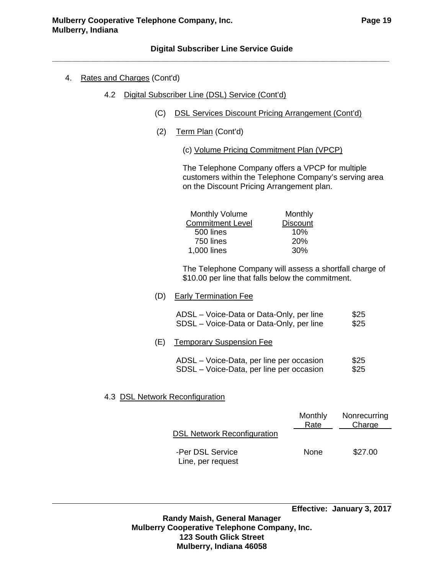- 4. Rates and Charges (Cont'd)
	- 4.2 Digital Subscriber Line (DSL) Service (Cont'd)
		- (C) DSL Services Discount Pricing Arrangement (Cont'd)
		- (2) Term Plan (Cont'd)
			- (c) Volume Pricing Commitment Plan (VPCP)

The Telephone Company offers a VPCP for multiple customers within the Telephone Company's serving area on the Discount Pricing Arrangement plan.

| <b>Monthly Volume</b>   | Monthly         |
|-------------------------|-----------------|
| <b>Commitment Level</b> | <b>Discount</b> |
| 500 lines               | 10%             |
| 750 lines               | 20%             |
| 1,000 lines             | 30%             |

The Telephone Company will assess a shortfall charge of \$10.00 per line that falls below the commitment.

#### (D) Early Termination Fee

| ADSL – Voice-Data or Data-Only, per line | \$25 |
|------------------------------------------|------|
| SDSL – Voice-Data or Data-Only, per line | \$25 |

(E) Temporary Suspension Fee

| ADSL – Voice-Data, per line per occasion | \$25 |
|------------------------------------------|------|
| SDSL – Voice-Data, per line per occasion | \$25 |

# 4.3 DSL Network Reconfiguration

|                                       | Monthly<br>Rate | Nonrecurring<br>Charge |
|---------------------------------------|-----------------|------------------------|
| <b>DSL Network Reconfiguration</b>    |                 |                        |
| -Per DSL Service<br>Line, per request | None            | \$27.00                |

 **Effective: January 3, 2017** 

**Randy Maish, General Manager Mulberry Cooperative Telephone Company, Inc. 123 South Glick Street Mulberry, Indiana 46058**